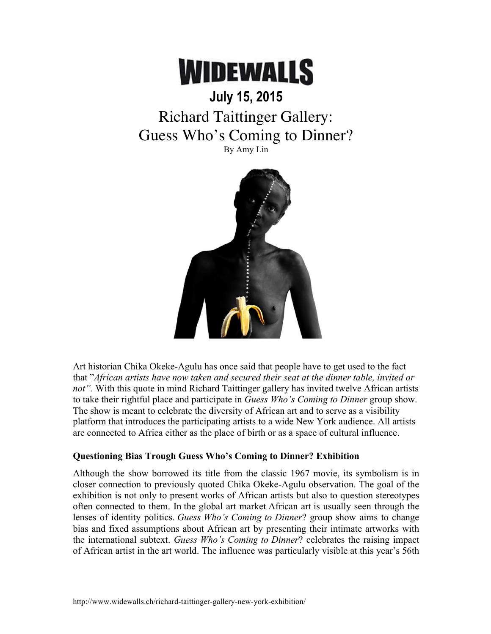

## **July 15, 2015** Richard Taittinger Gallery: Guess Who's Coming to Dinner?

By Amy Lin



Art historian Chika Okeke-Agulu has once said that people have to get used to the fact that "*African artists have now taken and secured their seat at the dinner table, invited or not".* With this quote in mind Richard Taittinger gallery has invited twelve African artists to take their rightful place and participate in *Guess Who's Coming to Dinner* group show. The show is meant to celebrate the diversity of African art and to serve as a visibility platform that introduces the participating artists to a wide New York audience. All artists are connected to Africa either as the place of birth or as a space of cultural influence.

## **Questioning Bias Trough Guess Who's Coming to Dinner? Exhibition**

Although the show borrowed its title from the classic 1967 movie, its symbolism is in closer connection to previously quoted Chika Okeke-Agulu observation. The goal of the exhibition is not only to present works of African artists but also to question stereotypes often connected to them. In the global art market African art is usually seen through the lenses of identity politics. *Guess Who's Coming to Dinner*? group show aims to change bias and fixed assumptions about African art by presenting their intimate artworks with the international subtext. *Guess Who's Coming to Dinner*? celebrates the raising impact of African artist in the art world. The influence was particularly visible at this year's 56th